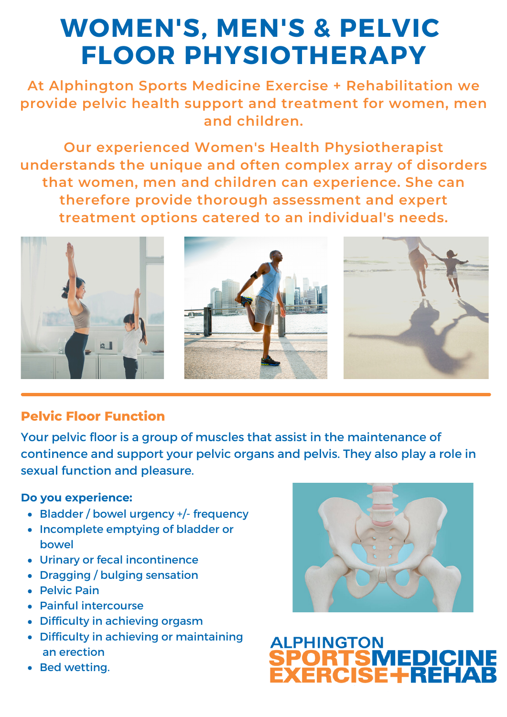# **WOMEN'S, MEN'S & PELVIC FLOOR PHYSIOTHERAPY**

**At Alphington Sports Medicine Exercise + Rehabilitation we provide pelvic health support and treatment for women, men and children.**

**Our experienced Women's Health Physiotherapist understands the unique and often complex array of disorders that women, men and children can experience. She can therefore provide thorough assessment and expert treatment options catered to an individual's needs.**



## **Pelvic Floor Function**

Your pelvic floor is a group of muscles that assist in the maintenance of continence and support your pelvic organs and pelvis. They also play a role in sexual function and pleasure.

#### **Do you experience:**

- Bladder / bowel urgency +/- frequency
- Incomplete emptying of bladder or bowel
- Urinary or fecal incontinence
- Dragging / bulging sensation
- **Pelvic Pain**
- Painful intercourse
- Difficulty in achieving orgasm
- Difficulty in achieving or maintaining an erection
- Bed wetting.